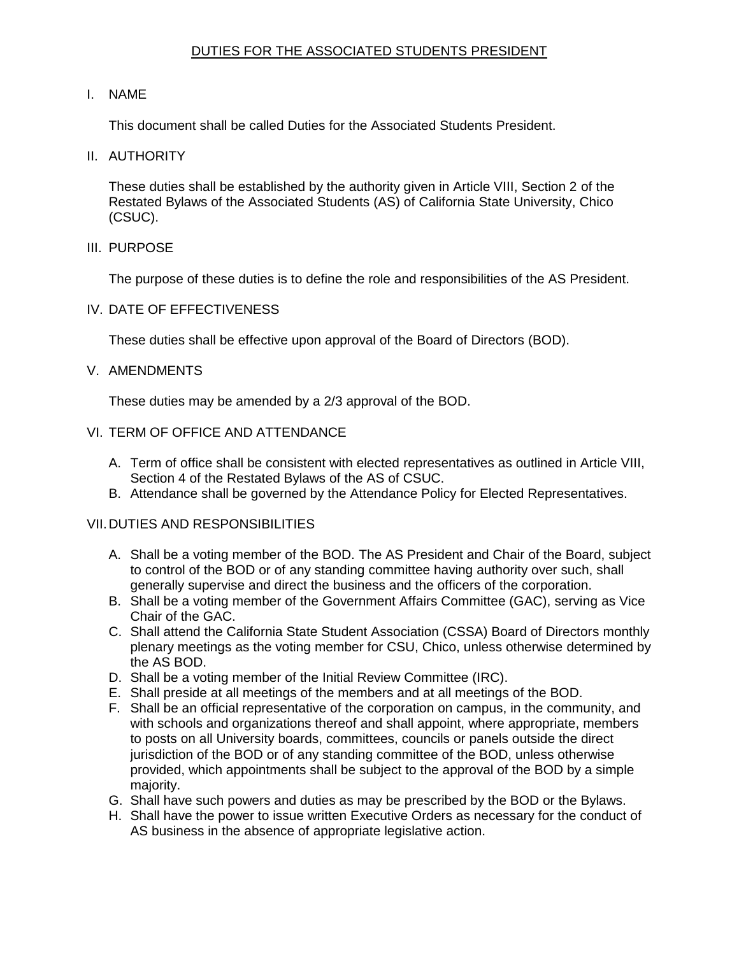# DUTIES FOR THE ASSOCIATED STUDENTS PRESIDENT

#### I. NAME

This document shall be called Duties for the Associated Students President.

II. AUTHORITY

 These duties shall be established by the authority given in Article VIII, Section 2 of the Restated Bylaws of the Associated Students (AS) of California State University, Chico (CSUC).

III. PURPOSE

The purpose of these duties is to define the role and responsibilities of the AS President.

IV. DATE OF EFFECTIVENESS

These duties shall be effective upon approval of the Board of Directors (BOD).

#### V. AMENDMENTS

These duties may be amended by a 2/3 approval of the BOD.

#### VI. TERM OF OFFICE AND ATTENDANCE

- A. Term of office shall be consistent with elected representatives as outlined in Article VIII, Section 4 of the Restated Bylaws of the AS of CSUC.
- B. Attendance shall be governed by the Attendance Policy for Elected Representatives.

### VII.DUTIES AND RESPONSIBILITIES

- A. Shall be a voting member of the BOD. The AS President and Chair of the Board, subject to control of the BOD or of any standing committee having authority over such, shall generally supervise and direct the business and the officers of the corporation.
- B. Shall be a voting member of the Government Affairs Committee (GAC), serving as Vice Chair of the GAC.
- C. Shall attend the California State Student Association (CSSA) Board of Directors monthly plenary meetings as the voting member for CSU, Chico, unless otherwise determined by the AS BOD.
- D. Shall be a voting member of the Initial Review Committee (IRC).
- E. Shall preside at all meetings of the members and at all meetings of the BOD.
- F. Shall be an official representative of the corporation on campus, in the community, and with schools and organizations thereof and shall appoint, where appropriate, members to posts on all University boards, committees, councils or panels outside the direct jurisdiction of the BOD or of any standing committee of the BOD, unless otherwise provided, which appointments shall be subject to the approval of the BOD by a simple maiority.
- majority. G. Shall have such powers and duties as may be prescribed by the BOD or the Bylaws.
- H. Shall have the power to issue written Executive Orders as necessary for the conduct of AS business in the absence of appropriate legislative action.